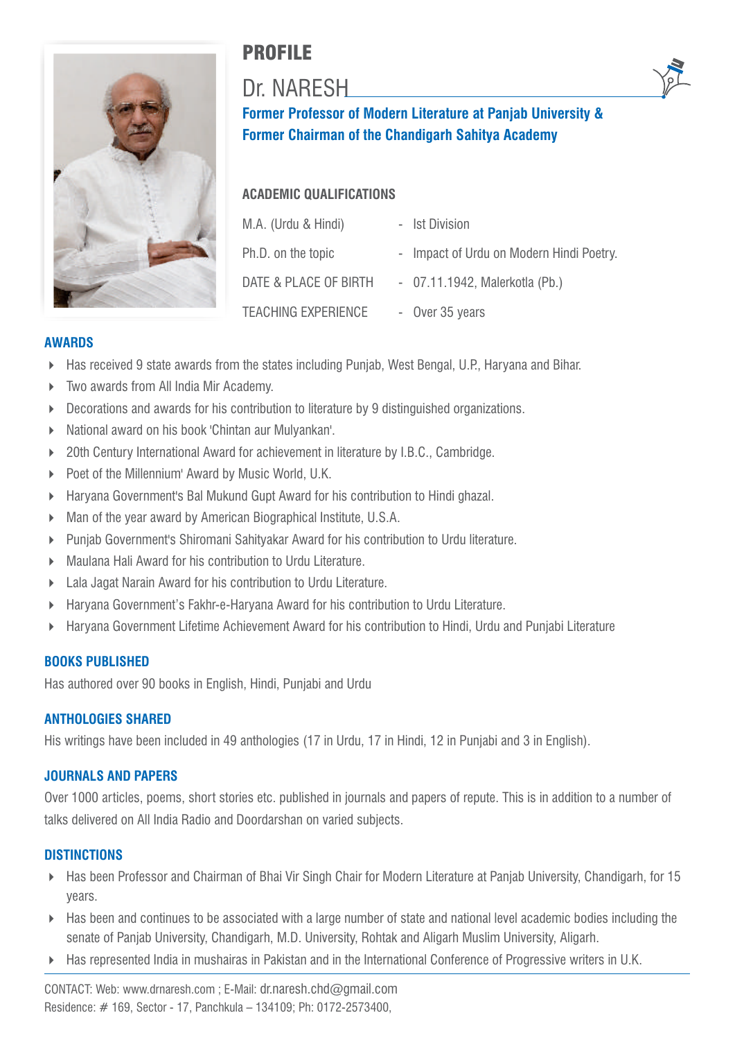

# PROFILE

# Dr. NARESH



## **ACADEMIC QUALIFICATIONS**

| M.A. (Urdu & Hindi)        | - Ist Division                           |
|----------------------------|------------------------------------------|
| Ph.D. on the topic         | - Impact of Urdu on Modern Hindi Poetry. |
| DATE & PLACE OF BIRTH      | - 07.11.1942, Malerkotla (Pb.)           |
| <b>TEACHING EXPERIENCE</b> | - Over 35 years                          |

## **AWARDS**

- ► Has received 9 state awards from the states including Punjab, West Bengal, U.P., Haryana and Bihar.
- 4 Two awards from All India Mir Academy.
- ▶ Decorations and awards for his contribution to literature by 9 distinguished organizations.
- 4 National award on his book 'Chintan aur Mulyankan'.
- ▶ 20th Century International Award for achievement in literature by I.B.C., Cambridge.
- ▶ Poet of the Millennium' Award by Music World, U.K.
- 4 Haryana Government's Bal Mukund Gupt Award for his contribution to Hindi ghazal.
- ▶ Man of the year award by American Biographical Institute, U.S.A.
- 4 Punjab Government's Shiromani Sahityakar Award for his contribution to Urdu literature.
- 4 Maulana Hali Award for his contribution to Urdu Literature.
- ▶ Lala Jagat Narain Award for his contribution to Urdu Literature.
- ▶ Haryana Government's Fakhr-e-Haryana Award for his contribution to Urdu Literature.
- 4 Haryana Government Lifetime Achievement Award for his contribution to Hindi, Urdu and Punjabi Literature

## **BOOKS PUBLISHED**

Has authored over 90 books in English, Hindi, Punjabi and Urdu

## **ANTHOLOGIES SHARED**

His writings have been included in 49 anthologies (17 in Urdu, 17 in Hindi, 12 in Punjabi and 3 in English).

## **JOURNALS AND PAPERS**

Over 1000 articles, poems, short stories etc. published in journals and papers of repute. This is in addition to a number of talks delivered on All India Radio and Doordarshan on varied subjects.

## **DISTINCTIONS**

- ▶ Has been Professor and Chairman of Bhai Vir Singh Chair for Modern Literature at Panjab University, Chandigarh, for 15 years.
- $\blacktriangleright$  Has been and continues to be associated with a large number of state and national level academic bodies including the senate of Panjab University, Chandigarh, M.D. University, Rohtak and Aligarh Muslim University, Aligarh.
- 4 Has represented India in mushairas in Pakistan and in the International Conference of Progressive writers in U.K.

CONTACT: Web: www.drnaresh.com ; E-Mail: dr.naresh.chd@gmail.com Residence: # 169, Sector - 17, Panchkula – 134109; Ph: 0172-2573400,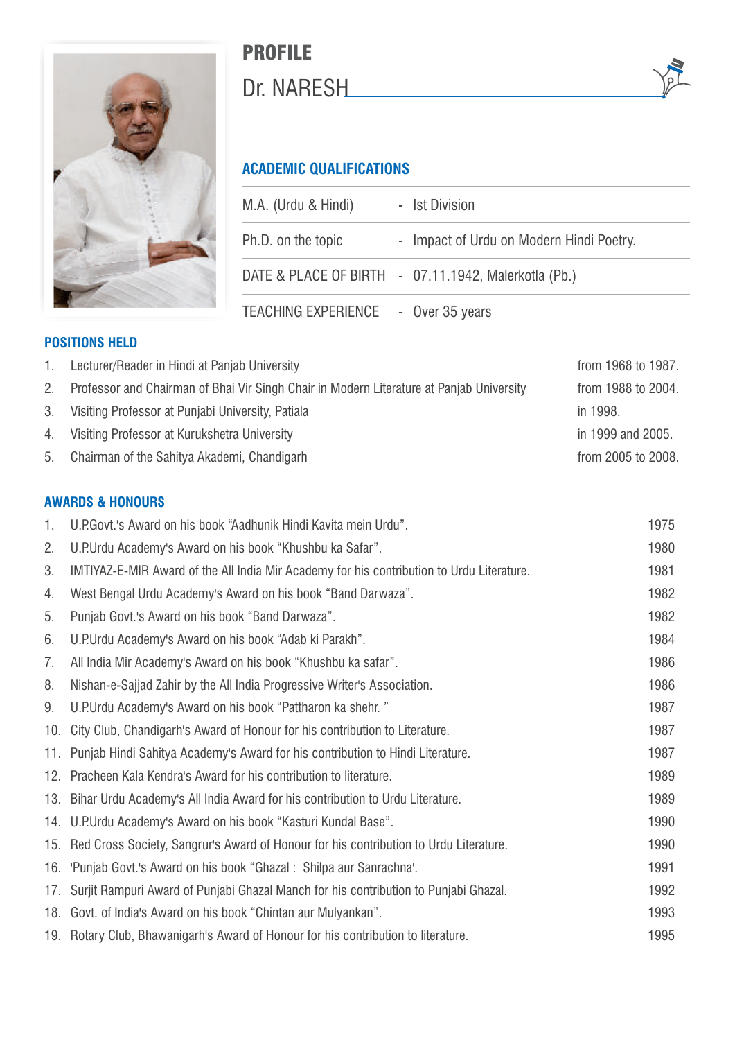

# PROFILE Dr. NARESH

## **ACADEMIC QUALIFICATIONS**

| M.A. (Urdu & Hindi)                 | - Ist Division                                       |  |
|-------------------------------------|------------------------------------------------------|--|
| Ph.D. on the topic                  | - Impact of Urdu on Modern Hindi Poetry.             |  |
|                                     | DATE & PLACE OF BIRTH - 07.11.1942, Malerkotla (Pb.) |  |
| TEACHING EXPERIENCE - Over 35 years |                                                      |  |

## **POSITIONS HELD**

| 1. | Lecturer/Reader in Hindi at Panjab University                                            | from 1968 to 1987. |
|----|------------------------------------------------------------------------------------------|--------------------|
| 2. | Professor and Chairman of Bhai Vir Singh Chair in Modern Literature at Panjab University | from 1988 to 2004. |
|    | 3. Visiting Professor at Punjabi University, Patiala                                     | in 1998.           |
|    | 4. Visiting Professor at Kurukshetra University                                          | in 1999 and 2005.  |
| 5. | Chairman of the Sahitya Akademi, Chandigarh                                              | from 2005 to 2008. |

## **AWARDS & HONOURS**

| 1.  | U.P.Govt.'s Award on his book "Aadhunik Hindi Kavita mein Urdu".                          | 1975 |
|-----|-------------------------------------------------------------------------------------------|------|
| 2.  | U.P.Urdu Academy's Award on his book "Khushbu ka Safar".                                  | 1980 |
| 3.  | IMTIYAZ-E-MIR Award of the All India Mir Academy for his contribution to Urdu Literature. | 1981 |
| 4.  | West Bengal Urdu Academy's Award on his book "Band Darwaza".                              | 1982 |
| 5.  | Punjab Govt.'s Award on his book "Band Darwaza".                                          | 1982 |
| 6.  | U.P.Urdu Academy's Award on his book "Adab ki Parakh".                                    | 1984 |
| 7.  | All India Mir Academy's Award on his book "Khushbu ka safar".                             | 1986 |
| 8.  | Nishan-e-Sajjad Zahir by the All India Progressive Writer's Association.                  | 1986 |
| 9.  | U.P.Urdu Academy's Award on his book "Pattharon ka shehr."                                | 1987 |
| 10. | City Club, Chandigarh's Award of Honour for his contribution to Literature.               | 1987 |
|     | 11. Punjab Hindi Sahitya Academy's Award for his contribution to Hindi Literature.        | 1987 |
|     | 12. Pracheen Kala Kendra's Award for his contribution to literature.                      | 1989 |
|     | 13. Bihar Urdu Academy's All India Award for his contribution to Urdu Literature.         | 1989 |
|     | 14. U.P.Urdu Academy's Award on his book "Kasturi Kundal Base".                           | 1990 |
|     | 15. Red Cross Society, Sangrur's Award of Honour for his contribution to Urdu Literature. | 1990 |
|     | 16. 'Punjab Govt.'s Award on his book "Ghazal: Shilpa aur Sanrachna'.                     | 1991 |
| 17. | Surjit Rampuri Award of Punjabi Ghazal Manch for his contribution to Punjabi Ghazal.      | 1992 |
|     | 18. Govt. of India's Award on his book "Chintan aur Mulyankan".                           | 1993 |
|     | 19. Rotary Club, Bhawanigarh's Award of Honour for his contribution to literature.        | 1995 |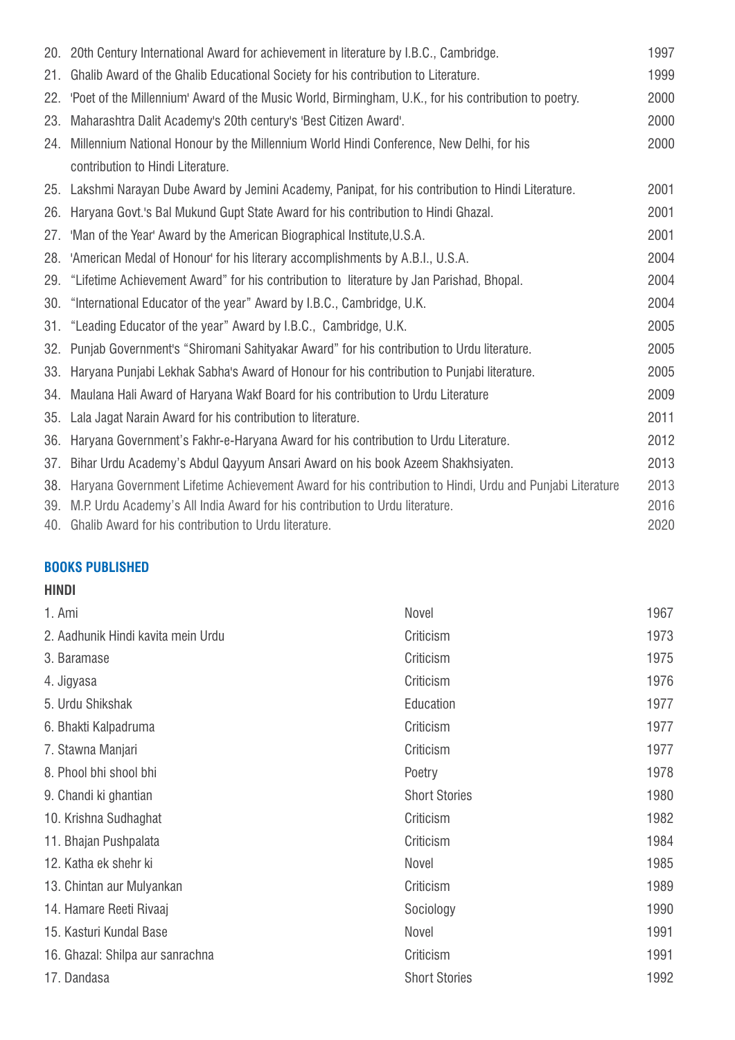|     | 20. 20th Century International Award for achievement in literature by I.B.C., Cambridge.                 | 1997 |
|-----|----------------------------------------------------------------------------------------------------------|------|
| 21. | Ghalib Award of the Ghalib Educational Society for his contribution to Literature.                       | 1999 |
| 22. | 'Poet of the Millennium' Award of the Music World, Birmingham, U.K., for his contribution to poetry.     | 2000 |
| 23. | Maharashtra Dalit Academy's 20th century's 'Best Citizen Award'.                                         | 2000 |
|     | 24. Millennium National Honour by the Millennium World Hindi Conference, New Delhi, for his              | 2000 |
|     | contribution to Hindi Literature.                                                                        |      |
|     | 25. Lakshmi Narayan Dube Award by Jemini Academy, Panipat, for his contribution to Hindi Literature.     | 2001 |
| 26. | Haryana Govt.'s Bal Mukund Gupt State Award for his contribution to Hindi Ghazal.                        | 2001 |
| 27. | 'Man of the Year' Award by the American Biographical Institute, U.S.A.                                   | 2001 |
| 28. | 'American Medal of Honour' for his literary accomplishments by A.B.I., U.S.A.                            | 2004 |
| 29. | "Lifetime Achievement Award" for his contribution to literature by Jan Parishad, Bhopal.                 | 2004 |
| 30. | "International Educator of the year" Award by I.B.C., Cambridge, U.K.                                    | 2004 |
|     | 31. "Leading Educator of the year" Award by I.B.C., Cambridge, U.K.                                      | 2005 |
| 32. | Punjab Government's "Shiromani Sahityakar Award" for his contribution to Urdu literature.                | 2005 |
| 33. | Haryana Punjabi Lekhak Sabha's Award of Honour for his contribution to Punjabi literature.               | 2005 |
|     | 34. Maulana Hali Award of Haryana Wakf Board for his contribution to Urdu Literature                     | 2009 |
| 35. | Lala Jagat Narain Award for his contribution to literature.                                              | 2011 |
| 36. | Haryana Government's Fakhr-e-Haryana Award for his contribution to Urdu Literature.                      | 2012 |
| 37. | Bihar Urdu Academy's Abdul Qayyum Ansari Award on his book Azeem Shakhsiyaten.                           | 2013 |
| 38. | Haryana Government Lifetime Achievement Award for his contribution to Hindi, Urdu and Punjabi Literature | 2013 |
| 39. | M.P. Urdu Academy's All India Award for his contribution to Urdu literature.                             | 2016 |
|     | 40. Ghalib Award for his contribution to Urdu literature.                                                | 2020 |

## **BOOKS PUBLISHED**

## **HINDI**

| 1. Ami                             | Novel                | 1967 |
|------------------------------------|----------------------|------|
| 2. Aadhunik Hindi kavita mein Urdu | Criticism            | 1973 |
| 3. Baramase                        | Criticism            | 1975 |
| 4. Jigyasa                         | Criticism            | 1976 |
| 5. Urdu Shikshak                   | Education            | 1977 |
| 6. Bhakti Kalpadruma               | Criticism            | 1977 |
| 7. Stawna Manjari                  | Criticism            | 1977 |
| 8. Phool bhi shool bhi             | Poetry               | 1978 |
| 9. Chandi ki ghantian              | <b>Short Stories</b> | 1980 |
| 10. Krishna Sudhaghat              | Criticism            | 1982 |
| 11. Bhajan Pushpalata              | Criticism            | 1984 |
| 12. Katha ek shehr ki              | Novel                | 1985 |
| 13. Chintan aur Mulyankan          | Criticism            | 1989 |
| 14. Hamare Reeti Rivaaj            | Sociology            | 1990 |
| 15. Kasturi Kundal Base            | Novel                | 1991 |
| 16. Ghazal: Shilpa aur sanrachna   | Criticism            | 1991 |
| 17. Dandasa                        | <b>Short Stories</b> | 1992 |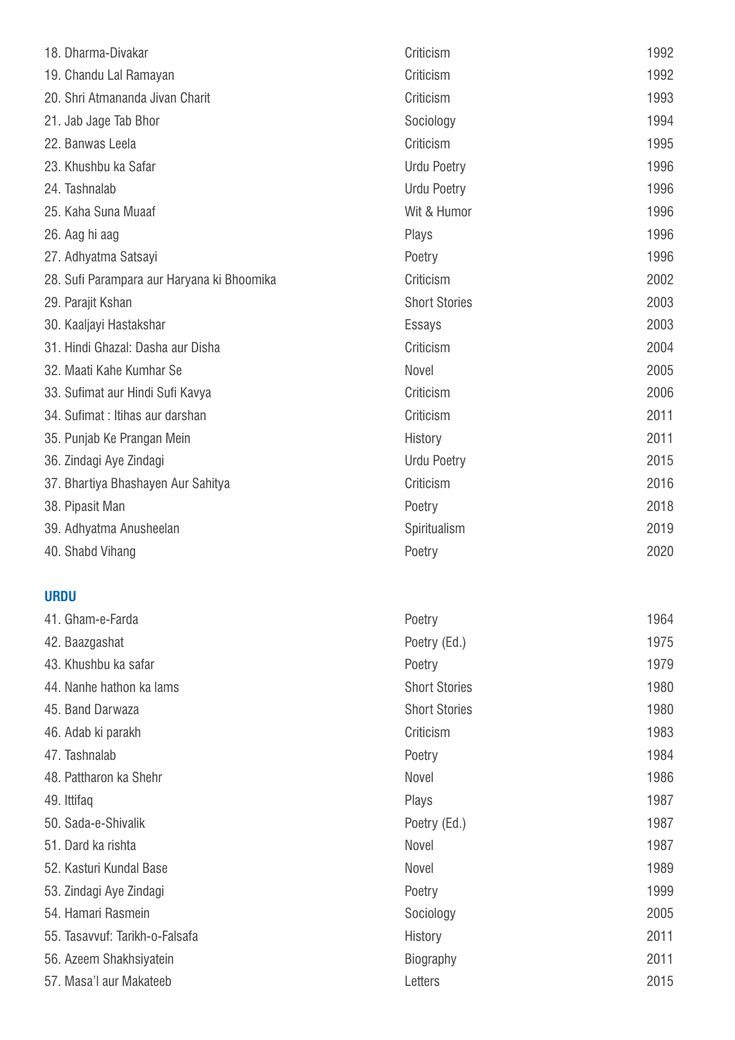| 18. Dharma-Divakar                         | Criticism            | 1992 |
|--------------------------------------------|----------------------|------|
| 19. Chandu Lal Ramayan                     | Criticism            | 1992 |
| 20. Shri Atmananda Jivan Charit            | Criticism            | 1993 |
| 21. Jab Jage Tab Bhor                      | Sociology            | 1994 |
| 22. Banwas Leela                           | Criticism            | 1995 |
| 23. Khushbu ka Safar                       | <b>Urdu Poetry</b>   | 1996 |
| 24. Tashnalab                              | <b>Urdu Poetry</b>   | 1996 |
| 25. Kaha Suna Muaaf                        | Wit & Humor          | 1996 |
| 26. Aag hi aag                             | Plays                | 1996 |
| 27. Adhyatma Satsayi                       | Poetry               | 1996 |
| 28. Sufi Parampara aur Haryana ki Bhoomika | Criticism            | 2002 |
| 29. Parajit Kshan                          | <b>Short Stories</b> | 2003 |
| 30. Kaaljayi Hastakshar                    | <b>Essays</b>        | 2003 |
| 31. Hindi Ghazal: Dasha aur Disha          | Criticism            | 2004 |
| 32. Maati Kahe Kumhar Se                   | Novel                | 2005 |
| 33. Sufimat aur Hindi Sufi Kavya           | Criticism            | 2006 |
| 34. Sufimat : Itihas aur darshan           | Criticism            | 2011 |
| 35. Punjab Ke Prangan Mein                 | History              | 2011 |
| 36. Zindagi Aye Zindagi                    | <b>Urdu Poetry</b>   | 2015 |
| 37. Bhartiya Bhashayen Aur Sahitya         | Criticism            | 2016 |
| 38. Pipasit Man                            | Poetry               | 2018 |
| 39. Adhyatma Anusheelan                    | Spiritualism         | 2019 |
| 40. Shabd Vihang                           | Poetry               | 2020 |
| <b>URDU</b>                                |                      |      |
| 41. Gham-e-Farda                           | Poetry               | 1964 |
| 42. Baazgashat                             | Poetry (Ed.)         | 1975 |
| 43. Khushbu ka safar                       | Poetry               | 1979 |
| 44. Nanhe hathon ka lams                   | <b>Short Stories</b> | 1980 |
| 45. Band Darwaza                           | <b>Short Stories</b> | 1980 |
| 46. Adab ki parakh                         | Criticism            | 1983 |
| 47. Tashnalab                              | Poetry               | 1984 |
| 48. Pattharon ka Shehr                     | Novel                | 1986 |
| 49. Ittifaq                                | Plays                | 1987 |
| 50. Sada-e-Shivalik                        | Poetry (Ed.)         | 1987 |
| 51. Dard ka rishta                         | Novel                | 1987 |
| 52. Kasturi Kundal Base                    | Novel                | 1989 |
| 53. Zindagi Aye Zindagi                    | Poetry               | 1999 |
| 54. Hamari Rasmein                         | Sociology            | 2005 |
| 55. Tasavvuf: Tarikh-o-Falsafa             | History              | 2011 |
| 56. Azeem Shakhsiyatein                    | <b>Biography</b>     | 2011 |
| 57. Masa'l aur Makateeb                    | Letters              | 2015 |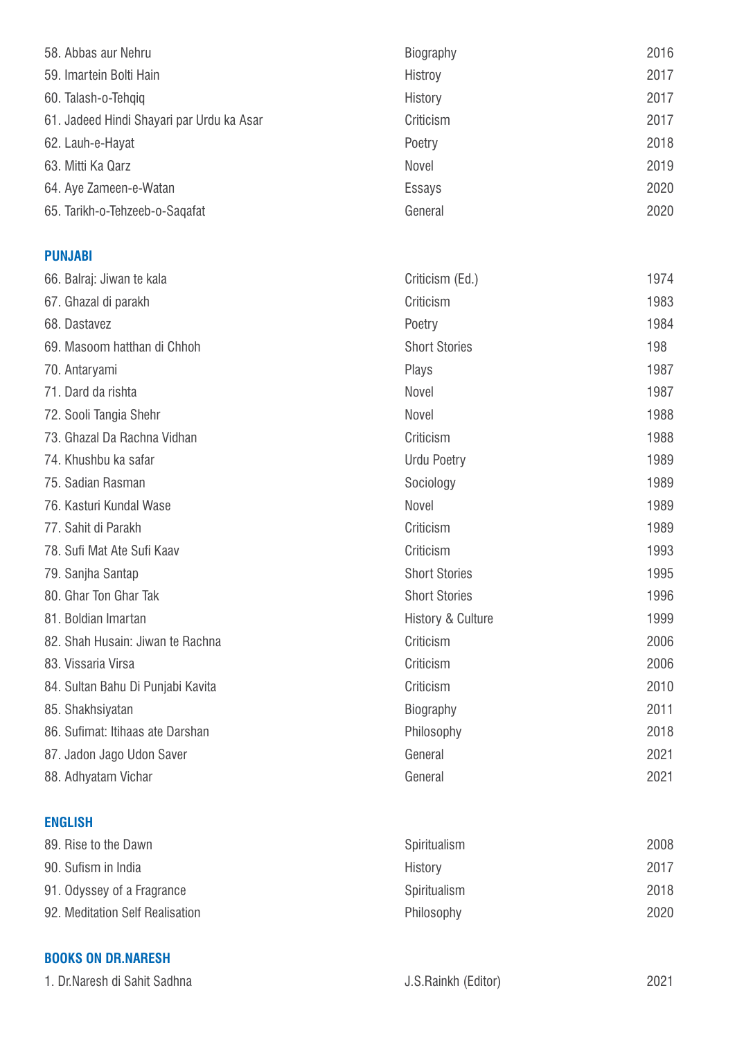| 58. Abbas aur Nehru                       | Biography | 2016 |
|-------------------------------------------|-----------|------|
| 59. Imartein Bolti Hain                   | Histroy   | 2017 |
| 60. Talash-o-Tehqiq                       | History   | 2017 |
| 61. Jadeed Hindi Shayari par Urdu ka Asar | Criticism | 2017 |
| 62. Lauh-e-Hayat                          | Poetry    | 2018 |
| 63. Mitti Ka Qarz                         | Novel     | 2019 |
| 64. Aye Zameen-e-Watan                    | Essays    | 2020 |
| 65. Tarikh-o-Tehzeeb-o-Sagafat            | General   | 2020 |
|                                           |           |      |

## **PUNJABI**

| 66. Balraj: Jiwan te kala         | Criticism (Ed.)              | 1974 |
|-----------------------------------|------------------------------|------|
| 67. Ghazal di parakh              | Criticism                    | 1983 |
| 68. Dastavez                      | Poetry                       | 1984 |
| 69. Masoom hatthan di Chhoh       | <b>Short Stories</b>         | 198  |
| 70. Antaryami                     | Plays                        | 1987 |
| 71. Dard da rishta                | Novel                        | 1987 |
| 72. Sooli Tangia Shehr            | Novel                        | 1988 |
| 73. Ghazal Da Rachna Vidhan       | Criticism                    | 1988 |
| 74. Khushbu ka safar              | <b>Urdu Poetry</b>           | 1989 |
| 75. Sadian Rasman                 | Sociology                    | 1989 |
| 76. Kasturi Kundal Wase           | Novel                        | 1989 |
| 77. Sahit di Parakh               | Criticism                    | 1989 |
| 78. Sufi Mat Ate Sufi Kaav        | Criticism                    | 1993 |
| 79. Sanjha Santap                 | <b>Short Stories</b>         | 1995 |
| 80. Ghar Ton Ghar Tak             | <b>Short Stories</b>         | 1996 |
| 81. Boldian Imartan               | <b>History &amp; Culture</b> | 1999 |
| 82. Shah Husain: Jiwan te Rachna  | Criticism                    | 2006 |
| 83. Vissaria Virsa                | Criticism                    | 2006 |
| 84. Sultan Bahu Di Punjabi Kavita | Criticism                    | 2010 |
| 85. Shakhsiyatan                  | <b>Biography</b>             | 2011 |
| 86. Sufimat: Itihaas ate Darshan  | Philosophy                   | 2018 |
| 87. Jadon Jago Udon Saver         | General                      | 2021 |
| 88. Adhyatam Vichar               | General                      | 2021 |
|                                   |                              |      |

## **ENGLISH**

| 89. Rise to the Dawn            | Spiritualism | 2008 |
|---------------------------------|--------------|------|
| 90. Sufism in India             | History      | 2017 |
| 91. Odyssey of a Fragrance      | Spiritualism | 2018 |
| 92. Meditation Self Realisation | Philosophy   | 2020 |

## **BOOKS ON DR.NARESH**

1. Dr.Naresh di Sahit Sadhna **Markov Alexandria Accessor di Sahit Sadhna** 2021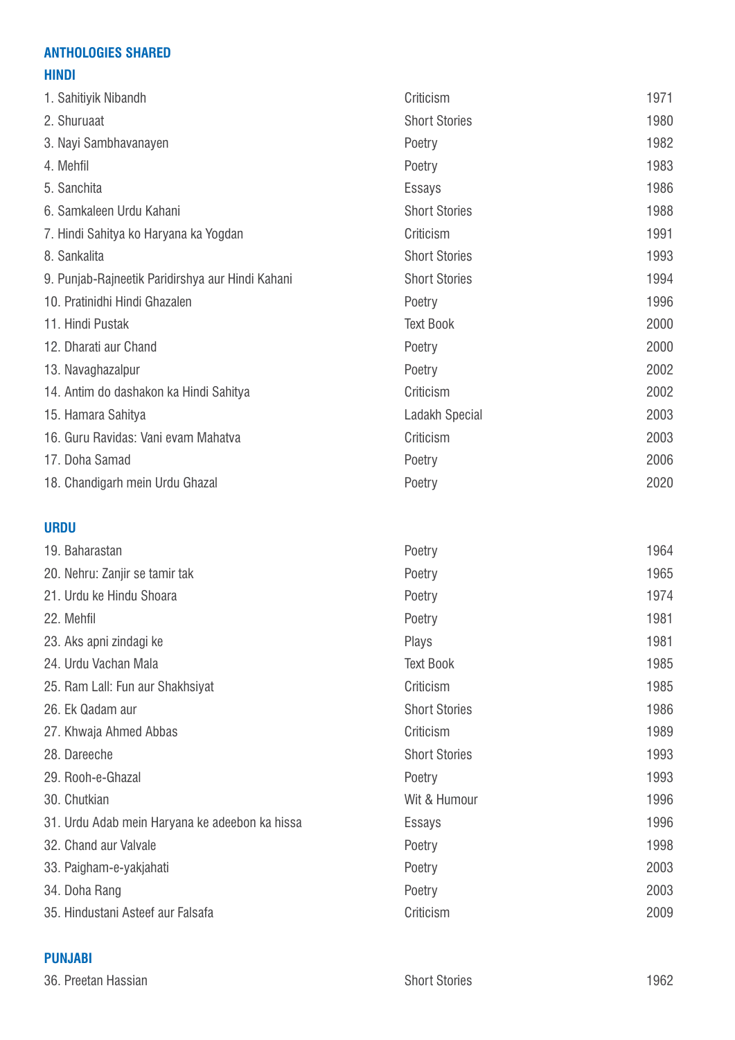## **ANTHOLOGIES SHARED**

## **HINDI**

| 1. Sahitiyik Nibandh                             | Criticism            | 1971 |
|--------------------------------------------------|----------------------|------|
| 2. Shuruaat                                      | <b>Short Stories</b> | 1980 |
| 3. Nayi Sambhavanayen                            | Poetry               | 1982 |
| 4. Mehfil                                        | Poetry               | 1983 |
| 5. Sanchita                                      | <b>Essays</b>        | 1986 |
| 6. Samkaleen Urdu Kahani                         | <b>Short Stories</b> | 1988 |
| 7. Hindi Sahitya ko Haryana ka Yogdan            | Criticism            | 1991 |
| 8. Sankalita                                     | <b>Short Stories</b> | 1993 |
| 9. Punjab-Rajneetik Paridirshya aur Hindi Kahani | <b>Short Stories</b> | 1994 |
| 10. Pratinidhi Hindi Ghazalen                    | Poetry               | 1996 |
| 11. Hindi Pustak                                 | <b>Text Book</b>     | 2000 |
| 12. Dharati aur Chand                            | Poetry               | 2000 |
| 13. Navaghazalpur                                | Poetry               | 2002 |
| 14. Antim do dashakon ka Hindi Sahitya           | Criticism            | 2002 |
| 15. Hamara Sahitya                               | Ladakh Special       | 2003 |
| 16. Guru Ravidas: Vani evam Mahatva              | Criticism            | 2003 |
| 17. Doha Samad                                   | Poetry               | 2006 |
| 18. Chandigarh mein Urdu Ghazal                  | Poetry               | 2020 |
| <b>URDU</b>                                      |                      |      |
| 19. Baharastan                                   | Poetry               | 1964 |
| 20. Nehru: Zanjir se tamir tak                   | Poetry               | 1965 |
| 21. Urdu ke Hindu Shoara                         | Poetry               | 1974 |
| 22. Mehfil                                       | Poetry               | 1981 |
| 23. Aks apni zindagi ke                          | Plays                | 1981 |
| 24. Urdu Vachan Mala                             | <b>Text Book</b>     | 1985 |
| 25. Ram Lall: Fun aur Shakhsiyat                 | Criticism            | 1985 |
| 26. Ek Qadam aur                                 | <b>Short Stories</b> | 1986 |
| 27. Khwaja Ahmed Abbas                           | Criticism            | 1989 |
| 28. Dareeche                                     | <b>Short Stories</b> | 1993 |
| 29. Rooh-e-Ghazal                                | Poetry               | 1993 |
| 30. Chutkian                                     | Wit & Humour         | 1996 |

31. Urdu Adab mein Haryana ke adeebon ka hissa Essays 1996 32. Chand aur Valvale **1998** and the Poetry **Poetry 1998** 33. Paigham-e-yakjahati Poetry 2003

34. Doha Rang 2003

35. Hindustani Asteef aur Falsafa Criticism 2009

## **PUNJABI**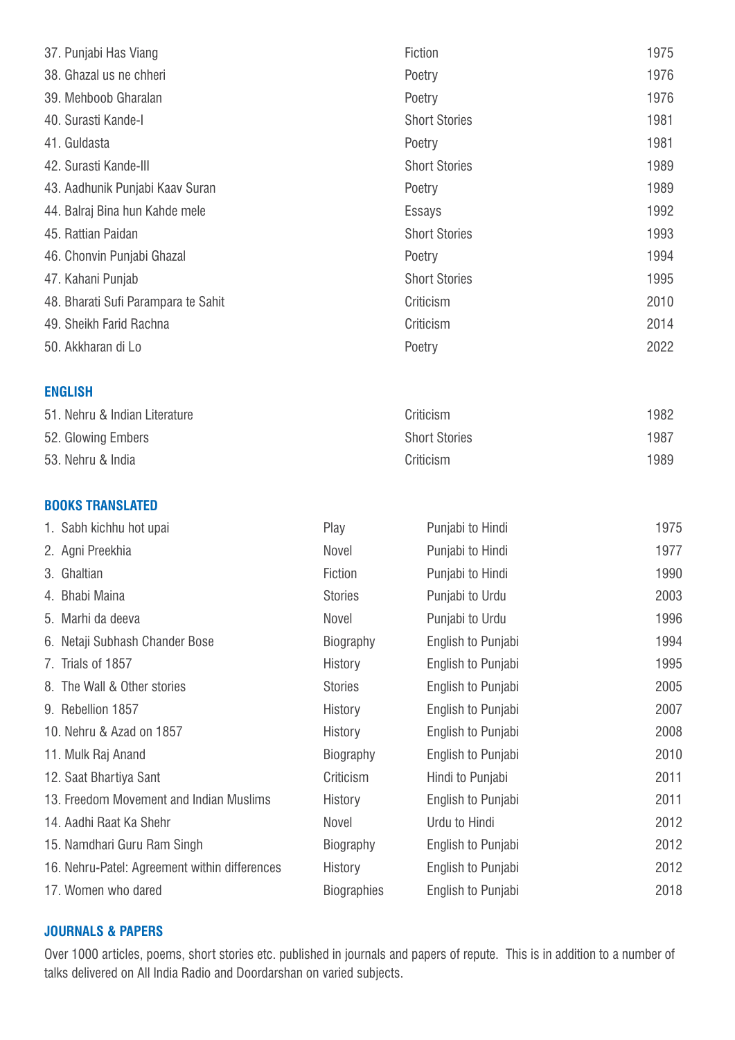| 37. Punjabi Has Viang                         |                    | Fiction              | 1975 |
|-----------------------------------------------|--------------------|----------------------|------|
| 38. Ghazal us ne chheri                       |                    | Poetry               | 1976 |
| 39. Mehboob Gharalan                          |                    | Poetry               | 1976 |
| 40. Surasti Kande-I                           |                    | <b>Short Stories</b> | 1981 |
| 41. Guldasta                                  |                    | Poetry               | 1981 |
| 42. Surasti Kande-III                         |                    | <b>Short Stories</b> | 1989 |
| 43. Aadhunik Punjabi Kaav Suran               |                    | Poetry               | 1989 |
| 44. Balraj Bina hun Kahde mele                |                    | Essays               | 1992 |
| 45. Rattian Paidan                            |                    | <b>Short Stories</b> | 1993 |
| 46. Chonvin Punjabi Ghazal                    |                    | Poetry               | 1994 |
| 47. Kahani Punjab                             |                    | <b>Short Stories</b> | 1995 |
| 48. Bharati Sufi Parampara te Sahit           |                    | Criticism            | 2010 |
| 49. Sheikh Farid Rachna                       |                    | Criticism            | 2014 |
| 50. Akkharan di Lo                            |                    | Poetry               | 2022 |
| <b>ENGLISH</b>                                |                    |                      |      |
| 51. Nehru & Indian Literature                 |                    | Criticism            | 1982 |
| 52. Glowing Embers                            |                    | <b>Short Stories</b> | 1987 |
| 53. Nehru & India                             |                    | Criticism            | 1989 |
| <b>BOOKS TRANSLATED</b>                       |                    |                      |      |
| 1. Sabh kichhu hot upai                       | Play               | Punjabi to Hindi     | 1975 |
| 2. Agni Preekhia                              | Novel              | Punjabi to Hindi     | 1977 |
| 3. Ghaltian                                   | Fiction            | Punjabi to Hindi     | 1990 |
| 4. Bhabi Maina                                | <b>Stories</b>     | Punjabi to Urdu      | 2003 |
| 5. Marhi da deeva                             | Novel              | Punjabi to Urdu      | 1996 |
| 6. Netaji Subhash Chander Bose                | Biography          | English to Punjabi   | 1994 |
| 7. Trials of 1857                             | History            | English to Punjabi   | 1995 |
| 8. The Wall & Other stories                   | <b>Stories</b>     | English to Punjabi   | 2005 |
| 9. Rebellion 1857                             | History            | English to Punjabi   | 2007 |
| 10. Nehru & Azad on 1857                      | History            | English to Punjabi   | 2008 |
| 11. Mulk Raj Anand                            | Biography          | English to Punjabi   | 2010 |
| 12. Saat Bhartiya Sant                        | Criticism          | Hindi to Punjabi     | 2011 |
| 13. Freedom Movement and Indian Muslims       | History            | English to Punjabi   | 2011 |
| 14. Aadhi Raat Ka Shehr                       | Novel              | Urdu to Hindi        | 2012 |
| 15. Namdhari Guru Ram Singh                   | Biography          | English to Punjabi   | 2012 |
| 16. Nehru-Patel: Agreement within differences | History            | English to Punjabi   | 2012 |
| 17. Women who dared                           | <b>Biographies</b> | English to Punjabi   | 2018 |

## **JOURNALS & PAPERS**

Over 1000 articles, poems, short stories etc. published in journals and papers of repute. This is in addition to a number of talks delivered on All India Radio and Doordarshan on varied subjects.